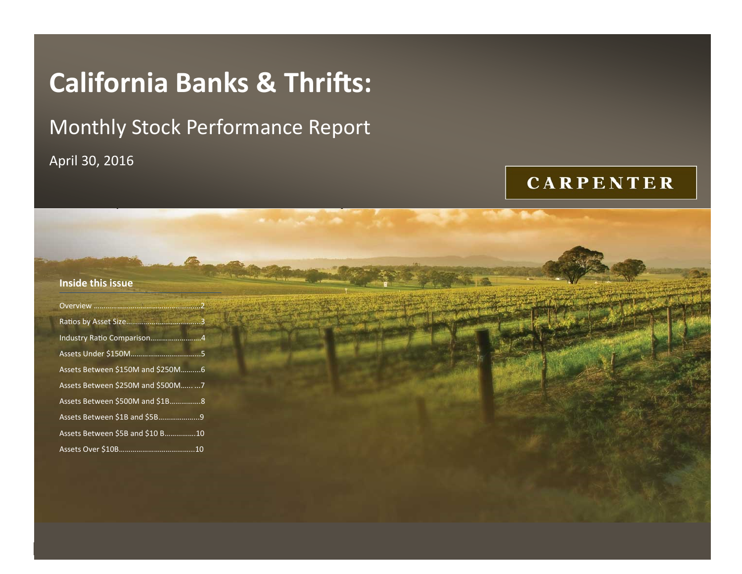# **California Banks & Thrifts:**

## Monthly Stock Performance Report

California Banks and Thrifts: April 30, 2016 April 30, 2016

## **CARPENTER**

| Inside this issue                     |  |  |  |  |
|---------------------------------------|--|--|--|--|
|                                       |  |  |  |  |
|                                       |  |  |  |  |
| Industry Ratio Comparison4            |  |  |  |  |
|                                       |  |  |  |  |
| Assets Between \$150M and \$250M 6    |  |  |  |  |
| Assets Between \$250M and \$500M   7  |  |  |  |  |
| Assets Between \$500M and \$1B 8      |  |  |  |  |
| Assets Between \$1B and \$5B9         |  |  |  |  |
| Assets Between \$5B and \$10 B     10 |  |  |  |  |
|                                       |  |  |  |  |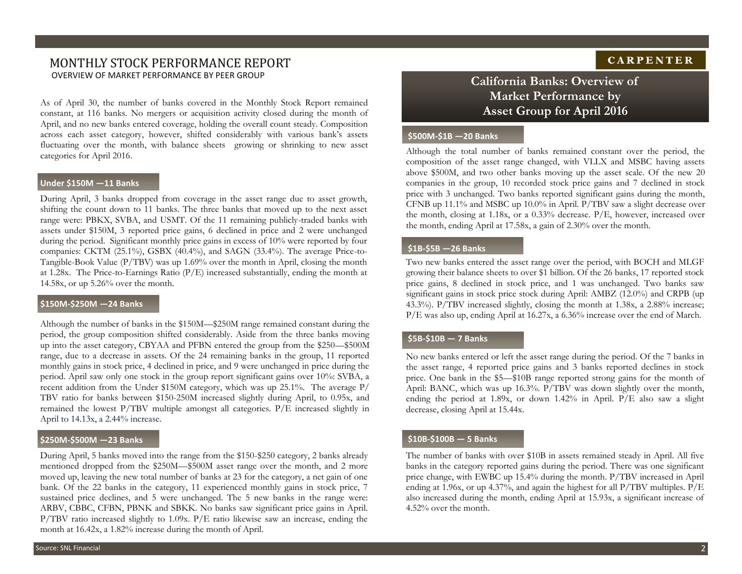## MONTHLY STOCK PERFORMANCE REPORT OVERVIEW OF MARKET PERFORMANCE BY PEER GROUP **California Banks: Overview of**

As of April 30, the number of banks covered in the Monthly Stock Report remained constant, at 116 banks. No mergers or acquisition activity closed during the month of April, and no new banks entered coverage, holding the overall count steady. Composition across each asset category, however, shifted considerably with various bank's assets fluctuating over the month, with balance sheets growing or shrinking to new asset categories for April 2016.

#### **Under \$150M —11 Banks**

During April, 3 banks dropped from coverage in the asset range due to asset growth, shifting the count down to 11 banks. The three banks that moved up to the next asset range were: PBKX, SVBA, and USMT. Of the 11 remaining publicly-traded banks with assets under \$150M, 3 reported price gains, 6 declined in price and 2 were unchanged during the period. Significant monthly price gains in excess of 10% were reported by four companies: CKTM (25.1%), GSBX (40.4%), and SAGN (33.4%). The average Price-to-Tangible-Book Value (P/TBV) was up 1.69% over the month in April, closing the month at 1.28x. The Price-to-Earnings Ratio (P/E) increased substantially, ending the month at 14.58x, or up 5.26% over the month.

#### **\$150M-\$250M —24 Banks**

Although the number of banks in the \$150M—\$250M range remained constant during the period, the group composition shifted considerably. Aside from the three banks moving up into the asset category, CBYAA and PFBN entered the group from the \$250—\$500M range, due to a decrease in assets. Of the 24 remaining banks in the group, 11 reported monthly gains in stock price, 4 declined in price, and 9 were unchanged in price during the period. April saw only one stock in the group report significant gains over 10%: SVBA, a recent addition from the Under \$150M category, which was up 25.1%. The average P/ TBV ratio for banks between \$150-250M increased slightly during April, to 0.95x, and remained the lowest P/TBV multiple amongst all categories. P/E increased slightly in April to 14.13x, a 2.44% increase.

#### **\$250M-\$500M —23 Banks**

During April, 5 banks moved into the range from the \$150-\$250 category, 2 banks already mentioned dropped from the \$250M—\$500M asset range over the month, and 2 more moved up, leaving the new total number of banks at 23 for the category, a net gain of one bank. Of the 22 banks in the category, 11 experienced monthly gains in stock price, 7 sustained price declines, and 5 were unchanged. The 5 new banks in the range were: ARBV, CBBC, CFBN, PBNK and SBKK. No banks saw significant price gains in April.  $P/TBV$  ratio increased slightly to 1.09x.  $P/E$  ratio likewise saw an increase, ending the month at 16.42x, a 1.82% increase during the month of April.

## **Market Performance by Asset Group for April 2016**

#### **\$500M-\$1B —20 Banks**

Although the total number of banks remained constant over the period, the composition of the asset range changed, with VLLX and MSBC having assets above \$500M, and two other banks moving up the asset scale. Of the new 20 companies in the group, 10 recorded stock price gains and 7 declined in stock price with 3 unchanged. Two banks reported significant gains during the month, CFNB up 11.1% and MSBC up 10.0% in April. P/TBV saw a slight decrease over the month, closing at 1.18x, or a 0.33% decrease. P/E, however, increased over the month, ending April at 17.58x, a gain of 2.30% over the month.

#### **\$1B-\$5B —26 Banks**

Two new banks entered the asset range over the period, with BOCH and MLGF growing their balance sheets to over \$1 billion. Of the 26 banks, 17 reported stock price gains, 8 declined in stock price, and 1 was unchanged. Two banks saw significant gains in stock price stock during April: AMBZ (12.0%) and CRPB (up 43.3%). P/TBV increased slightly, closing the month at 1.38x, a 2.88% increase; P/E was also up, ending April at 16.27x, a 6.36% increase over the end of March.

#### **\$5B-\$10B — 7 Banks**

No new banks entered or left the asset range during the period. Of the 7 banks in the asset range, 4 reported price gains and 3 banks reported declines in stock price. One bank in the \$5—\$10B range reported strong gains for the month of April: BANC, which was up 16.3%. P/TBV was down slightly over the month, ending the period at 1.89x, or down 1.42% in April. P/E also saw a slight decrease, closing April at 15.44x.

#### **\$10B-\$100B — 5 Banks**

The number of banks with over \$10B in assets remained steady in April. All five banks in the category reported gains during the period. There was one significant price change, with EWBC up 15.4% during the month. P/TBV increased in April ending at 1.96x, or up 4.37%, and again the highest for all P/TBV multiples. P/E also increased during the month, ending April at 15.93x, a significant increase of 4.52% over the month.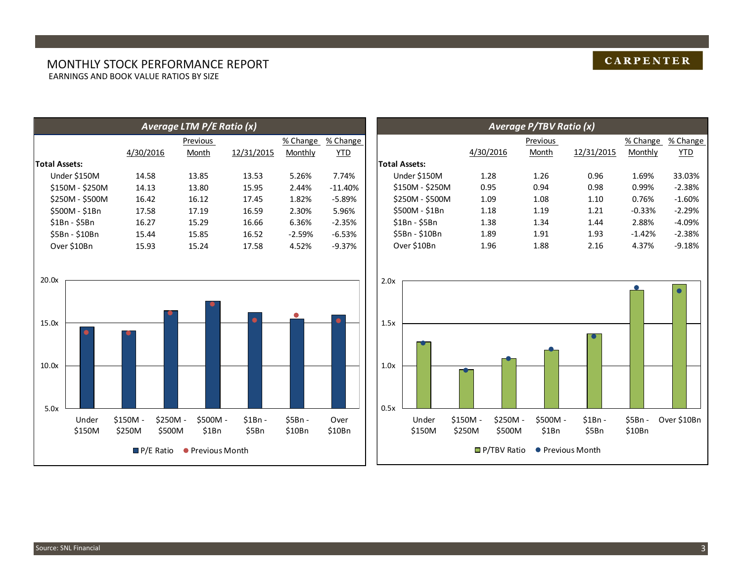#### MONTHLY STOCK PERFORMANCE REPORT EARNINGS AND BOOK VALUE RATIOS BY SIZE

|                      |           | Average LTM P/E Ratio (x) |            |          |           |
|----------------------|-----------|---------------------------|------------|----------|-----------|
|                      |           | Previous                  |            | % Change | % Change  |
|                      | 4/30/2016 | Month                     | 12/31/2015 | Monthly  | YTD       |
| <b>Total Assets:</b> |           |                           |            |          |           |
| Under \$150M         | 14.58     | 13.85                     | 13.53      | 5.26%    | 7.74%     |
| \$150M - \$250M      | 14.13     | 13.80                     | 15.95      | 2.44%    | $-11.40%$ |
| \$250M - \$500M      | 16.42     | 16.12                     | 17.45      | 1.82%    | $-5.89%$  |
| \$500M - \$1Bn       | 17.58     | 17.19                     | 16.59      | 2.30%    | 5.96%     |
| $$1Bn - $5Bn$        | 16.27     | 15.29                     | 16.66      | 6.36%    | $-2.35%$  |
| \$5Bn - \$10Bn       | 15.44     | 15.85                     | 16.52      | $-2.59%$ | $-6.53%$  |
| Over \$10Bn          | 15.93     | 15.24                     | 17.58      | 4.52%    | $-9.37%$  |





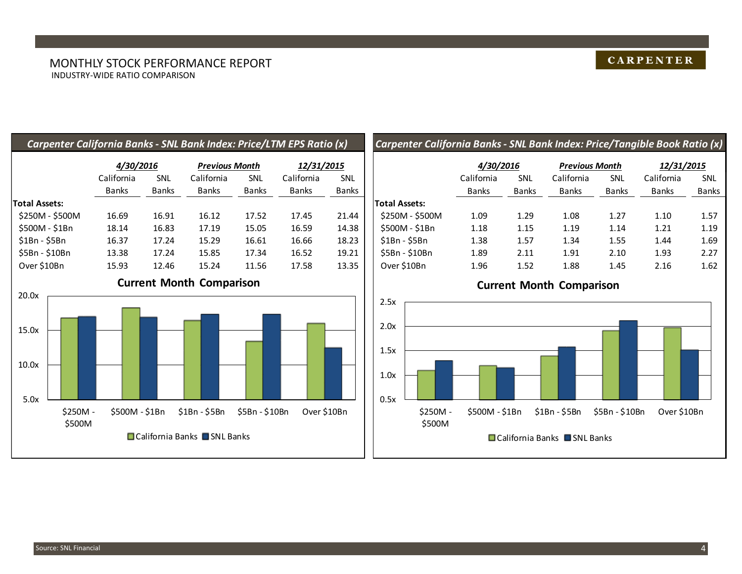| Carpenter California Banks - SNL Bank Index: Price/LTM EPS Ratio (x) |                |              |                                 |                |              |              | <b>Carpenter</b>     |
|----------------------------------------------------------------------|----------------|--------------|---------------------------------|----------------|--------------|--------------|----------------------|
|                                                                      | 4/30/2016      |              | <b>Previous Month</b>           |                | 12/31/2015   |              |                      |
|                                                                      | California     | <b>SNL</b>   | California                      | SNL            | California   | <b>SNL</b>   |                      |
|                                                                      | <b>Banks</b>   | <b>Banks</b> | <b>Banks</b>                    | <b>Banks</b>   | <b>Banks</b> | <b>Banks</b> |                      |
| Total Assets:                                                        |                |              |                                 |                |              |              | <b>Total Assets:</b> |
| \$250M - \$500M                                                      | 16.69          | 16.91        | 16.12                           | 17.52          | 17.45        | 21.44        | \$250M - \$5         |
| \$500M - \$1Bn                                                       | 18.14          | 16.83        | 17.19                           | 15.05          | 16.59        | 14.38        | \$500M - \$1         |
| $$1Bn - $5Bn$                                                        | 16.37          | 17.24        | 15.29                           | 16.61          | 16.66        | 18.23        | \$1Bn - \$5Br        |
| \$5Bn - \$10Bn                                                       | 13.38          | 17.24        | 15.85                           | 17.34          | 16.52        | 19.21        | \$5Bn - \$10B        |
| Over \$10Bn                                                          | 15.93          | 12.46        | 15.24                           | 11.56          | 17.58        | 13.35        | Over \$10Bn          |
|                                                                      |                |              | <b>Current Month Comparison</b> |                |              |              |                      |
| 20.0x                                                                |                |              |                                 |                |              |              | 2.5x                 |
| 15.0x                                                                |                |              |                                 |                |              |              | 2.0x                 |
| 10.0x                                                                |                |              |                                 |                |              |              | 1.5x                 |
| 5.0x                                                                 |                |              |                                 |                |              |              | 1.0x<br>0.5x         |
| \$250M -                                                             | \$500M - \$1Bn |              | $$1Bn - $5Bn$                   | \$5Bn - \$10Bn | Over \$10Bn  |              | \$:                  |

■ California Banks ■ SNL Banks

## *Carpenter California Banks - SNL Bank Index: Price/Tangible Book Ratio (x)*

|                 | 4/30/2016    |              | <b>Previous Month</b> |              | 12/31/2015   |              |  |
|-----------------|--------------|--------------|-----------------------|--------------|--------------|--------------|--|
|                 | California   | SNL          | California            | <b>SNL</b>   | California   | <b>SNL</b>   |  |
|                 | <b>Banks</b> | <b>Banks</b> | <b>Banks</b>          | <b>Banks</b> | <b>Banks</b> | <b>Banks</b> |  |
| otal Assets:    |              |              |                       |              |              |              |  |
| \$250M - \$500M | 1.09         | 1.29         | 1.08                  | 1.27         | 1.10         | 1.57         |  |
| \$500M - \$1Bn  | 1.18         | 1.15         | 1.19                  | 1.14         | 1.21         | 1.19         |  |
| \$1Bn - \$5Bn   | 1.38         | 1.57         | 1.34                  | 1.55         | 1.44         | 1.69         |  |
| \$5Bn - \$10Bn  | 1.89         | 2.11         | 1.91                  | 2.10         | 1.93         | 2.27         |  |
| Over \$10Bn     | 1.96         | 1.52         | 1.88                  | 1.45         | 2.16         | 1.62         |  |

## **Current Month Comparison**



\$500M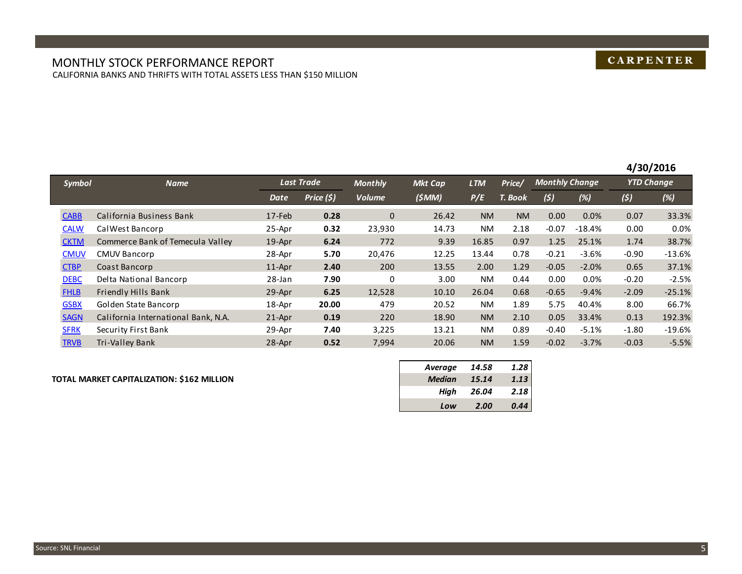#### MONTHLY STOCK PERFORMANCE REPORT CALIFORNIA BANKS AND THRIFTS WITH TOTAL ASSETS LESS THAN \$150 MILLION

## **CARPENTER**

|               |                                     |           |                   |                |                |            |           |                       |          | 4/30/2016         |          |
|---------------|-------------------------------------|-----------|-------------------|----------------|----------------|------------|-----------|-----------------------|----------|-------------------|----------|
| <b>Symbol</b> | <b>Name</b>                         |           | <b>Last Trade</b> | <b>Monthly</b> | <b>Mkt Cap</b> | <b>LTM</b> | Price/    | <b>Monthly Change</b> |          | <b>YTD Change</b> |          |
|               |                                     | Date      | Price (\$)        | <b>Volume</b>  | (\$MM)         | P/E        | T. Book   | (5)                   | (%)      | (5)               | (%)      |
| <b>CABB</b>   | California Business Bank            | 17-Feb    | 0.28              | $\mathbf{0}$   | 26.42          | <b>NM</b>  | <b>NM</b> | 0.00                  | 0.0%     | 0.07              | 33.3%    |
| <b>CALW</b>   | Cal West Bancorp                    | 25-Apr    | 0.32              | 23,930         | 14.73          | NM.        | 2.18      | $-0.07$               | $-18.4%$ | 0.00              | 0.0%     |
| <b>CKTM</b>   | Commerce Bank of Temecula Valley    | $19$ -Apr | 6.24              | 772            | 9.39           | 16.85      | 0.97      | 1.25                  | 25.1%    | 1.74              | 38.7%    |
| <b>CMUV</b>   | <b>CMUV Bancorp</b>                 | 28-Apr    | 5.70              | 20,476         | 12.25          | 13.44      | 0.78      | $-0.21$               | $-3.6%$  | $-0.90$           | $-13.6%$ |
| <b>CTBP</b>   | Coast Bancorp                       | $11$ -Apr | 2.40              | 200            | 13.55          | 2.00       | 1.29      | $-0.05$               | $-2.0%$  | 0.65              | 37.1%    |
| <b>DEBC</b>   | Delta National Bancorp              | 28-Jan    | 7.90              | 0              | 3.00           | NM.        | 0.44      | 0.00                  | 0.0%     | $-0.20$           | $-2.5%$  |
| <b>FHLB</b>   | Friendly Hills Bank                 | 29-Apr    | 6.25              | 12,528         | 10.10          | 26.04      | 0.68      | $-0.65$               | $-9.4%$  | $-2.09$           | $-25.1%$ |
| <b>GSBX</b>   | Golden State Bancorp                | 18-Apr    | 20.00             | 479            | 20.52          | NM.        | 1.89      | 5.75                  | 40.4%    | 8.00              | 66.7%    |
| <b>SAGN</b>   | California International Bank, N.A. | $21-Apr$  | 0.19              | 220            | 18.90          | <b>NM</b>  | 2.10      | 0.05                  | 33.4%    | 0.13              | 192.3%   |
| <b>SFRK</b>   | Security First Bank                 | 29-Apr    | 7.40              | 3,225          | 13.21          | NM.        | 0.89      | $-0.40$               | $-5.1%$  | $-1.80$           | $-19.6%$ |
| <b>TRVB</b>   | Tri-Valley Bank                     | 28-Apr    | 0.52              | 7,994          | 20.06          | <b>NM</b>  | 1.59      | $-0.02$               | $-3.7%$  | $-0.03$           | $-5.5%$  |

#### **TOTAL MARKET CAPITALIZATION: \$162 MILLION** *Median 15.14 1.13*

| 14.58 | 1.28 |
|-------|------|
| 15.14 | 1.13 |
| 26.04 | 2.18 |
| 2.00  | 0.44 |
|       |      |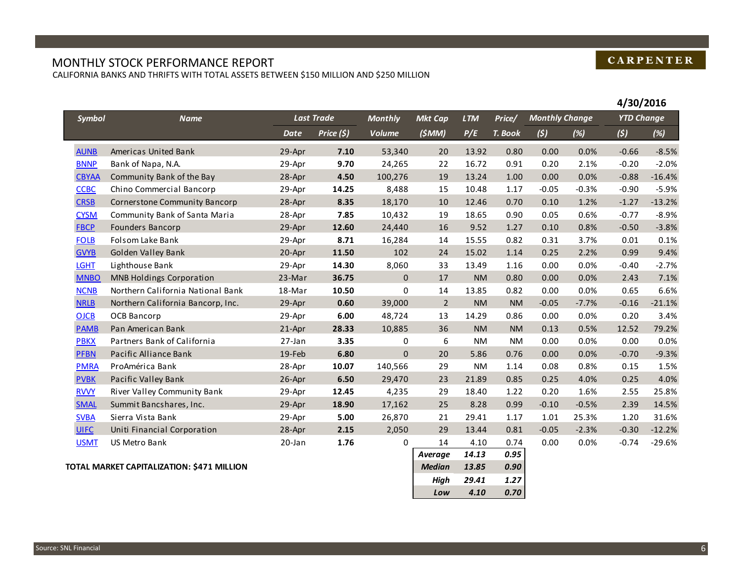### MONTHLY STOCK PERFORMANCE REPORT

CALIFORNIA BANKS AND THRIFTS WITH TOTAL ASSETS BETWEEN \$150 MILLION AND \$250 MILLION

|              |                                            |           |                   |                |                |            |           |                       |         | 4/30/2016         |          |
|--------------|--------------------------------------------|-----------|-------------------|----------------|----------------|------------|-----------|-----------------------|---------|-------------------|----------|
| Symbol       | <b>Name</b>                                |           | <b>Last Trade</b> | <b>Monthly</b> | <b>Mkt Cap</b> | <b>LTM</b> | Price/    | <b>Monthly Change</b> |         | <b>YTD Change</b> |          |
|              |                                            | Date      | Price (\$)        | <b>Volume</b>  | (5MM)          | P/E        | T. Book   | (5)                   | (%)     | (5)               | (%)      |
| <b>AUNB</b>  | Americas United Bank                       | 29-Apr    | 7.10              | 53,340         | 20             | 13.92      | 0.80      | 0.00                  | 0.0%    | $-0.66$           | $-8.5%$  |
| <b>BNNP</b>  | Bank of Napa, N.A.                         | 29-Apr    | 9.70              | 24,265         | 22             | 16.72      | 0.91      | 0.20                  | 2.1%    | $-0.20$           | $-2.0%$  |
| <b>CBYAA</b> | Community Bank of the Bay                  | 28-Apr    | 4.50              | 100,276        | 19             | 13.24      | 1.00      | 0.00                  | 0.0%    | $-0.88$           | $-16.4%$ |
| <b>CCBC</b>  | Chino Commercial Bancorp                   | 29-Apr    | 14.25             | 8,488          | 15             | 10.48      | 1.17      | $-0.05$               | $-0.3%$ | $-0.90$           | $-5.9%$  |
| <b>CRSB</b>  | <b>Cornerstone Community Bancorp</b>       | 28-Apr    | 8.35              | 18,170         | 10             | 12.46      | 0.70      | 0.10                  | 1.2%    | $-1.27$           | $-13.2%$ |
| <b>CYSM</b>  | Community Bank of Santa Maria              | 28-Apr    | 7.85              | 10,432         | 19             | 18.65      | 0.90      | 0.05                  | 0.6%    | $-0.77$           | $-8.9%$  |
| <b>FBCP</b>  | Founders Bancorp                           | 29-Apr    | 12.60             | 24,440         | 16             | 9.52       | 1.27      | 0.10                  | 0.8%    | $-0.50$           | $-3.8%$  |
| <b>FOLB</b>  | Folsom Lake Bank                           | 29-Apr    | 8.71              | 16,284         | 14             | 15.55      | 0.82      | 0.31                  | 3.7%    | 0.01              | 0.1%     |
| <b>GVYB</b>  | Golden Valley Bank                         | 20-Apr    | 11.50             | 102            | 24             | 15.02      | 1.14      | 0.25                  | 2.2%    | 0.99              | 9.4%     |
| <b>LGHT</b>  | Lighthouse Bank                            | 29-Apr    | 14.30             | 8,060          | 33             | 13.49      | 1.16      | 0.00                  | 0.0%    | $-0.40$           | $-2.7%$  |
| <b>MNBO</b>  | <b>MNB Holdings Corporation</b>            | 23-Mar    | 36.75             | $\mathbf{0}$   | 17             | <b>NM</b>  | 0.80      | 0.00                  | 0.0%    | 2.43              | 7.1%     |
| <b>NCNB</b>  | Northern California National Bank          | 18-Mar    | 10.50             | 0              | 14             | 13.85      | 0.82      | 0.00                  | 0.0%    | 0.65              | 6.6%     |
| <b>NRLB</b>  | Northern California Bancorp, Inc.          | 29-Apr    | 0.60              | 39,000         | $\overline{2}$ | <b>NM</b>  | <b>NM</b> | $-0.05$               | $-7.7%$ | $-0.16$           | $-21.1%$ |
| <b>OJCB</b>  | <b>OCB Bancorp</b>                         | 29-Apr    | 6.00              | 48,724         | 13             | 14.29      | 0.86      | 0.00                  | 0.0%    | 0.20              | 3.4%     |
| <b>PAMB</b>  | Pan American Bank                          | 21-Apr    | 28.33             | 10,885         | 36             | <b>NM</b>  | <b>NM</b> | 0.13                  | 0.5%    | 12.52             | 79.2%    |
| <b>PBKX</b>  | Partners Bank of California                | 27-Jan    | 3.35              | $\mathbf 0$    | 6              | <b>NM</b>  | <b>NM</b> | 0.00                  | 0.0%    | 0.00              | 0.0%     |
| <b>PFBN</b>  | Pacific Alliance Bank                      | 19-Feb    | 6.80              | $\Omega$       | 20             | 5.86       | 0.76      | 0.00                  | 0.0%    | $-0.70$           | $-9.3%$  |
| <b>PMRA</b>  | ProAmérica Bank                            | 28-Apr    | 10.07             | 140,566        | 29             | <b>NM</b>  | 1.14      | 0.08                  | 0.8%    | 0.15              | 1.5%     |
| <b>PVBK</b>  | Pacific Valley Bank                        | 26-Apr    | 6.50              | 29,470         | 23             | 21.89      | 0.85      | 0.25                  | 4.0%    | 0.25              | 4.0%     |
| <b>RVVY</b>  | River Valley Community Bank                | 29-Apr    | 12.45             | 4,235          | 29             | 18.40      | 1.22      | 0.20                  | 1.6%    | 2.55              | 25.8%    |
| <b>SMAL</b>  | Summit Bancshares, Inc.                    | 29-Apr    | 18.90             | 17,162         | 25             | 8.28       | 0.99      | $-0.10$               | $-0.5%$ | 2.39              | 14.5%    |
| <b>SVBA</b>  | Sierra Vista Bank                          | 29-Apr    | 5.00              | 26,870         | 21             | 29.41      | 1.17      | 1.01                  | 25.3%   | 1.20              | 31.6%    |
| <b>UIFC</b>  | Uniti Financial Corporation                | 28-Apr    | 2.15              | 2,050          | 29             | 13.44      | 0.81      | $-0.05$               | $-2.3%$ | $-0.30$           | $-12.2%$ |
| <b>USMT</b>  | <b>US Metro Bank</b>                       | $20$ -Jan | 1.76              | $\mathbf 0$    | 14             | 4.10       | 0.74      | 0.00                  | 0.0%    | $-0.74$           | $-29.6%$ |
|              |                                            |           |                   |                | Average        | 14.13      | 0.95      |                       |         |                   |          |
|              | TOTAL MARKET CAPITALIZATION: \$471 MILLION |           |                   |                | <b>Median</b>  | 13.85      | 0.90      |                       |         |                   |          |
|              |                                            |           |                   |                | High           | 29.41      | 1.27      |                       |         |                   |          |

*Low 4.10 0.70*

## **CARPENTER**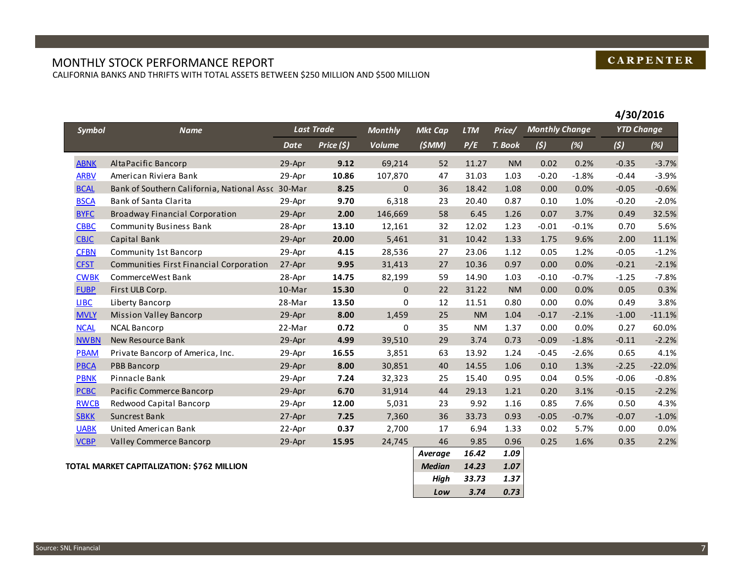## **CARPENTER**

## MONTHLY STOCK PERFORMANCE REPORT

CALIFORNIA BANKS AND THRIFTS WITH TOTAL ASSETS BETWEEN \$250 MILLION AND \$500 MILLION

|             |                                                   |             |                   |                |                |            |           |                       |         | 4/30/2016         |          |
|-------------|---------------------------------------------------|-------------|-------------------|----------------|----------------|------------|-----------|-----------------------|---------|-------------------|----------|
| Symbol      | <b>Name</b>                                       |             | <b>Last Trade</b> | <b>Monthly</b> | <b>Mkt Cap</b> | <b>LTM</b> | Price/    | <b>Monthly Change</b> |         | <b>YTD Change</b> |          |
|             |                                                   | <b>Date</b> | Price (\$)        | <b>Volume</b>  | (\$MM)         | P/E        | T. Book   | (5)                   | (%)     | (5)               | (%)      |
| <b>ABNK</b> | AltaPacific Bancorp                               | 29-Apr      | 9.12              | 69,214         | 52             | 11.27      | <b>NM</b> | 0.02                  | 0.2%    | $-0.35$           | $-3.7%$  |
| <b>ARBV</b> | American Riviera Bank                             | 29-Apr      | 10.86             | 107,870        | 47             | 31.03      | 1.03      | $-0.20$               | $-1.8%$ | $-0.44$           | $-3.9%$  |
| <b>BCAL</b> | Bank of Southern California, National Assc 30-Mar |             | 8.25              | $\mathbf{0}$   | 36             | 18.42      | 1.08      | 0.00                  | 0.0%    | $-0.05$           | $-0.6%$  |
| <b>BSCA</b> | Bank of Santa Clarita                             | 29-Apr      | 9.70              | 6,318          | 23             | 20.40      | 0.87      | 0.10                  | 1.0%    | $-0.20$           | $-2.0%$  |
| <b>BYFC</b> | <b>Broadway Financial Corporation</b>             | 29-Apr      | 2.00              | 146,669        | 58             | 6.45       | 1.26      | 0.07                  | 3.7%    | 0.49              | 32.5%    |
| <b>CBBC</b> | <b>Community Business Bank</b>                    | 28-Apr      | 13.10             | 12,161         | 32             | 12.02      | 1.23      | $-0.01$               | $-0.1%$ | 0.70              | 5.6%     |
| <b>CBJC</b> | Capital Bank                                      | 29-Apr      | 20.00             | 5,461          | 31             | 10.42      | 1.33      | 1.75                  | 9.6%    | 2.00              | 11.1%    |
| <b>CFBN</b> | Community 1st Bancorp                             | 29-Apr      | 4.15              | 28,536         | 27             | 23.06      | 1.12      | 0.05                  | 1.2%    | $-0.05$           | $-1.2%$  |
| <b>CFST</b> | Communities First Financial Corporation           | 27-Apr      | 9.95              | 31,413         | 27             | 10.36      | 0.97      | 0.00                  | 0.0%    | $-0.21$           | $-2.1%$  |
| <b>CWBK</b> | CommerceWest Bank                                 | 28-Apr      | 14.75             | 82,199         | 59             | 14.90      | 1.03      | $-0.10$               | $-0.7%$ | $-1.25$           | $-7.8%$  |
| <b>FUBP</b> | First ULB Corp.                                   | $10$ -Mar   | 15.30             | $\mathbf{0}$   | 22             | 31.22      | <b>NM</b> | 0.00                  | 0.0%    | 0.05              | 0.3%     |
| LIBC        | Liberty Bancorp                                   | 28-Mar      | 13.50             | $\mathbf 0$    | 12             | 11.51      | 0.80      | 0.00                  | 0.0%    | 0.49              | 3.8%     |
| <b>MVLY</b> | <b>Mission Valley Bancorp</b>                     | 29-Apr      | 8.00              | 1,459          | 25             | <b>NM</b>  | 1.04      | $-0.17$               | $-2.1%$ | $-1.00$           | $-11.1%$ |
| <b>NCAL</b> | <b>NCAL Bancorp</b>                               | 22-Mar      | 0.72              | $\mathbf 0$    | 35             | <b>NM</b>  | 1.37      | 0.00                  | 0.0%    | 0.27              | 60.0%    |
| <b>NWBN</b> | New Resource Bank                                 | 29-Apr      | 4.99              | 39,510         | 29             | 3.74       | 0.73      | $-0.09$               | $-1.8%$ | $-0.11$           | $-2.2%$  |
| <b>PBAM</b> | Private Bancorp of America, Inc.                  | 29-Apr      | 16.55             | 3,851          | 63             | 13.92      | 1.24      | $-0.45$               | $-2.6%$ | 0.65              | 4.1%     |
| <b>PBCA</b> | <b>PBB Bancorp</b>                                | 29-Apr      | 8.00              | 30,851         | 40             | 14.55      | 1.06      | 0.10                  | 1.3%    | $-2.25$           | $-22.0%$ |
| <b>PBNK</b> | Pinnacle Bank                                     | 29-Apr      | 7.24              | 32,323         | 25             | 15.40      | 0.95      | 0.04                  | 0.5%    | $-0.06$           | $-0.8%$  |
| <b>PCBC</b> | Pacific Commerce Bancorp                          | 29-Apr      | 6.70              | 31,914         | 44             | 29.13      | 1.21      | 0.20                  | 3.1%    | $-0.15$           | $-2.2%$  |
| <b>RWCB</b> | Redwood Capital Bancorp                           | 29-Apr      | 12.00             | 5,031          | 23             | 9.92       | 1.16      | 0.85                  | 7.6%    | 0.50              | 4.3%     |
| <b>SBKK</b> | Suncrest Bank                                     | 27-Apr      | 7.25              | 7,360          | 36             | 33.73      | 0.93      | $-0.05$               | $-0.7%$ | $-0.07$           | $-1.0%$  |
| <b>UABK</b> | United American Bank                              | 22-Apr      | 0.37              | 2,700          | 17             | 6.94       | 1.33      | 0.02                  | 5.7%    | 0.00              | 0.0%     |
| <b>VCBP</b> | Valley Commerce Bancorp                           | 29-Apr      | 15.95             | 24,745         | 46             | 9.85       | 0.96      | 0.25                  | 1.6%    | 0.35              | 2.2%     |
|             |                                                   |             |                   |                | Average        | 16.42      | 1.09      |                       |         |                   |          |
|             | TOTAL MARKET CAPITALIZATION: \$762 MILLION        |             |                   |                | <b>Median</b>  | 14.23      | 1.07      |                       |         |                   |          |
|             |                                                   |             |                   |                | High           | 33.73      | 1.37      |                       |         |                   |          |
|             |                                                   |             |                   |                | Low            | 3.74       | 0.73      |                       |         |                   |          |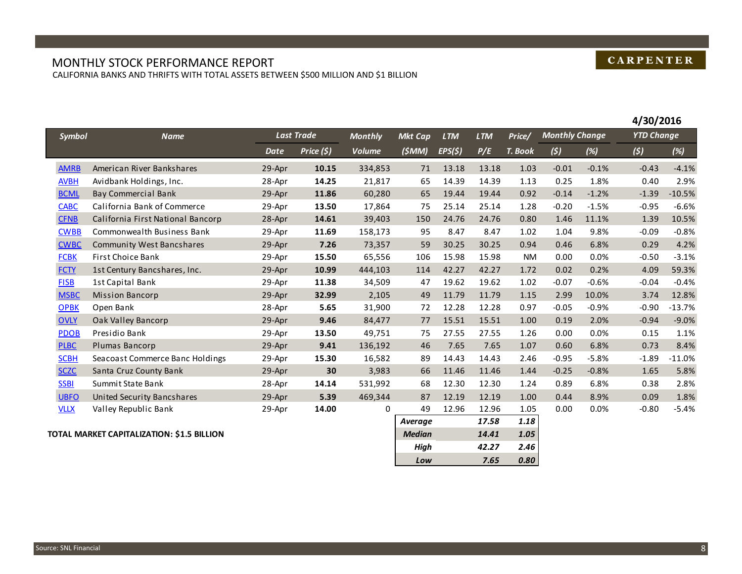## **CARPENTER**

#### MONTHLY STOCK PERFORMANCE REPORT CALIFORNIA BANKS AND THRIFTS WITH TOTAL ASSETS BETWEEN \$500 MILLION AND \$1 BILLION

|               |                                           |        |                   |                |                |            |            |                  |                       |         | 4/30/2016         |          |
|---------------|-------------------------------------------|--------|-------------------|----------------|----------------|------------|------------|------------------|-----------------------|---------|-------------------|----------|
| <b>Symbol</b> | <b>Name</b>                               |        | <b>Last Trade</b> | <b>Monthly</b> | <b>Mkt Cap</b> | <b>LTM</b> | <b>LTM</b> | Price/           | <b>Monthly Change</b> |         | <b>YTD Change</b> |          |
|               |                                           | Date   | Price (\$)        | Volume         | (5MM)          | EPS(5)     | P/E        | T. Book          | (5)                   | (%)     | (5)               | (%)      |
| <b>AMRB</b>   | American River Bankshares                 | 29-Apr | 10.15             | 334,853        | 71             | 13.18      | 13.18      | 1.03             | $-0.01$               | $-0.1%$ | $-0.43$           | $-4.1%$  |
| <b>AVBH</b>   | Avidbank Holdings, Inc.                   | 28-Apr | 14.25             | 21,817         | 65             | 14.39      | 14.39      | 1.13             | 0.25                  | 1.8%    | 0.40              | 2.9%     |
| <b>BCML</b>   | <b>Bay Commercial Bank</b>                | 29-Apr | 11.86             | 60,280         | 65             | 19.44      | 19.44      | 0.92             | $-0.14$               | $-1.2%$ | $-1.39$           | $-10.5%$ |
| <b>CABC</b>   | California Bank of Commerce               | 29-Apr | 13.50             | 17,864         | 75             | 25.14      | 25.14      | 1.28             | $-0.20$               | $-1.5%$ | $-0.95$           | $-6.6%$  |
| <b>CFNB</b>   | California First National Bancorp         | 28-Apr | 14.61             | 39,403         | 150            | 24.76      | 24.76      | 0.80             | 1.46                  | 11.1%   | 1.39              | 10.5%    |
| <b>CWBB</b>   | Commonwealth Business Bank                | 29-Apr | 11.69             | 158,173        | 95             | 8.47       | 8.47       | 1.02             | 1.04                  | 9.8%    | $-0.09$           | $-0.8%$  |
| <b>CWBC</b>   | <b>Community West Bancshares</b>          | 29-Apr | 7.26              | 73,357         | 59             | 30.25      | 30.25      | 0.94             | 0.46                  | 6.8%    | 0.29              | 4.2%     |
| <b>FCBK</b>   | <b>First Choice Bank</b>                  | 29-Apr | 15.50             | 65,556         | 106            | 15.98      | 15.98      | <b>NM</b>        | 0.00                  | 0.0%    | $-0.50$           | $-3.1%$  |
| <b>FCTY</b>   | 1st Century Bancshares, Inc.              | 29-Apr | 10.99             | 444,103        | 114            | 42.27      | 42.27      | 1.72             | 0.02                  | 0.2%    | 4.09              | 59.3%    |
| <b>FISB</b>   | 1st Capital Bank                          | 29-Apr | 11.38             | 34,509         | 47             | 19.62      | 19.62      | 1.02             | $-0.07$               | $-0.6%$ | $-0.04$           | $-0.4%$  |
| <b>MSBC</b>   | <b>Mission Bancorp</b>                    | 29-Apr | 32.99             | 2,105          | 49             | 11.79      | 11.79      | 1.15             | 2.99                  | 10.0%   | 3.74              | 12.8%    |
| <b>OPBK</b>   | Open Bank                                 | 28-Apr | 5.65              | 31,900         | 72             | 12.28      | 12.28      | 0.97             | $-0.05$               | $-0.9%$ | $-0.90$           | $-13.7%$ |
| <b>OVLY</b>   | Oak Valley Bancorp                        | 29-Apr | 9.46              | 84,477         | 77             | 15.51      | 15.51      | 1.00             | 0.19                  | 2.0%    | $-0.94$           | $-9.0%$  |
| <b>PDOB</b>   | Presidio Bank                             | 29-Apr | 13.50             | 49,751         | 75             | 27.55      | 27.55      | 1.26             | 0.00                  | 0.0%    | 0.15              | 1.1%     |
| <b>PLBC</b>   | Plumas Bancorp                            | 29-Apr | 9.41              | 136,192        | 46             | 7.65       | 7.65       | 1.07             | 0.60                  | 6.8%    | 0.73              | 8.4%     |
| <b>SCBH</b>   | Seacoast Commerce Banc Holdings           | 29-Apr | 15.30             | 16,582         | 89             | 14.43      | 14.43      | 2.46             | $-0.95$               | $-5.8%$ | $-1.89$           | $-11.0%$ |
| <b>SCZC</b>   | Santa Cruz County Bank                    | 29-Apr | 30                | 3,983          | 66             | 11.46      | 11.46      | 1.44             | $-0.25$               | $-0.8%$ | 1.65              | 5.8%     |
| <b>SSBI</b>   | Summit State Bank                         | 28-Apr | 14.14             | 531,992        | 68             | 12.30      | 12.30      | 1.24             | 0.89                  | 6.8%    | 0.38              | 2.8%     |
| <b>UBFO</b>   | <b>United Security Bancshares</b>         | 29-Apr | 5.39              | 469,344        | 87             | 12.19      | 12.19      | 1.00             | 0.44                  | 8.9%    | 0.09              | 1.8%     |
| <b>VLLX</b>   | Valley Republic Bank                      | 29-Apr | 14.00             | 0              | 49             | 12.96      | 12.96      | 1.05             | 0.00                  | 0.0%    | $-0.80$           | $-5.4%$  |
|               |                                           |        |                   |                | Average        |            | 17.58      | 1.18             |                       |         |                   |          |
|               | OTAL BAADKET CADITALIZATION, CA E DU LION |        |                   |                | $A = d : $     |            | $1111$     | 1.0 <sub>F</sub> |                       |         |                   |          |

**TOTAL MARKET CAPITALIZATION: \$1.5 BILLION** *Median 14.41 1.05*

| 17.58 | 1.18 |
|-------|------|
| 14.41 | 1.05 |
| 42.27 | 2.46 |
| 7.65  | 0.80 |
|       |      |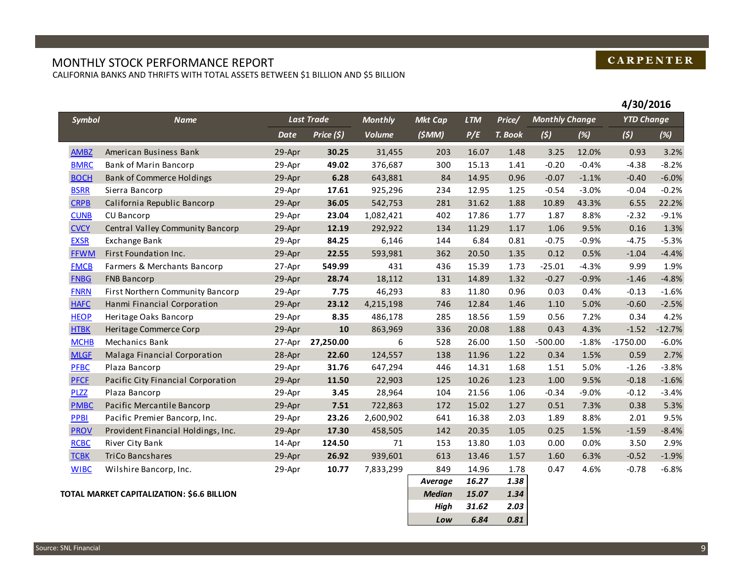## MONTHLY STOCK PERFORMANCE REPORT

CALIFORNIA BANKS AND THRIFTS WITH TOTAL ASSETS BETWEEN \$1 BILLION AND \$5 BILLION

|             |                                            |             |                   |                |                |            |         |                       |         | 4/30/2016         |          |
|-------------|--------------------------------------------|-------------|-------------------|----------------|----------------|------------|---------|-----------------------|---------|-------------------|----------|
| Symbol      | <b>Name</b>                                |             | <b>Last Trade</b> | <b>Monthly</b> | <b>Mkt Cap</b> | <b>LTM</b> | Price/  | <b>Monthly Change</b> |         | <b>YTD Change</b> |          |
|             |                                            | <b>Date</b> | Price (\$)        | <b>Volume</b>  | (\$MM)         | P/E        | T. Book | (5)                   | (%)     | (5)               | (%)      |
| <b>AMBZ</b> | American Business Bank                     | 29-Apr      | 30.25             | 31,455         | 203            | 16.07      | 1.48    | 3.25                  | 12.0%   | 0.93              | 3.2%     |
| <b>BMRC</b> | <b>Bank of Marin Bancorp</b>               | 29-Apr      | 49.02             | 376,687        | 300            | 15.13      | 1.41    | $-0.20$               | $-0.4%$ | $-4.38$           | $-8.2%$  |
| <b>BOCH</b> | <b>Bank of Commerce Holdings</b>           | 29-Apr      | 6.28              | 643,881        | 84             | 14.95      | 0.96    | $-0.07$               | $-1.1%$ | $-0.40$           | $-6.0%$  |
| <b>BSRR</b> | Sierra Bancorp                             | 29-Apr      | 17.61             | 925,296        | 234            | 12.95      | 1.25    | $-0.54$               | $-3.0%$ | $-0.04$           | $-0.2%$  |
| <b>CRPB</b> | California Republic Bancorp                | 29-Apr      | 36.05             | 542,753        | 281            | 31.62      | 1.88    | 10.89                 | 43.3%   | 6.55              | 22.2%    |
| <b>CUNB</b> | <b>CU Bancorp</b>                          | 29-Apr      | 23.04             | 1,082,421      | 402            | 17.86      | 1.77    | 1.87                  | 8.8%    | $-2.32$           | $-9.1%$  |
| <b>CVCY</b> | <b>Central Valley Community Bancorp</b>    | 29-Apr      | 12.19             | 292,922        | 134            | 11.29      | 1.17    | 1.06                  | 9.5%    | 0.16              | 1.3%     |
| <b>EXSR</b> | <b>Exchange Bank</b>                       | 29-Apr      | 84.25             | 6,146          | 144            | 6.84       | 0.81    | $-0.75$               | $-0.9%$ | $-4.75$           | $-5.3%$  |
| <b>FFWM</b> | First Foundation Inc.                      | 29-Apr      | 22.55             | 593,981        | 362            | 20.50      | 1.35    | 0.12                  | 0.5%    | $-1.04$           | $-4.4%$  |
| <b>FMCB</b> | Farmers & Merchants Bancorp                | 27-Apr      | 549.99            | 431            | 436            | 15.39      | 1.73    | $-25.01$              | $-4.3%$ | 9.99              | 1.9%     |
| <b>FNBG</b> | <b>FNB Bancorp</b>                         | 29-Apr      | 28.74             | 18,112         | 131            | 14.89      | 1.32    | $-0.27$               | $-0.9%$ | $-1.46$           | $-4.8%$  |
| <b>FNRN</b> | First Northern Community Bancorp           | 29-Apr      | 7.75              | 46,293         | 83             | 11.80      | 0.96    | 0.03                  | 0.4%    | $-0.13$           | $-1.6%$  |
| <b>HAFC</b> | Hanmi Financial Corporation                | 29-Apr      | 23.12             | 4,215,198      | 746            | 12.84      | 1.46    | 1.10                  | 5.0%    | $-0.60$           | $-2.5%$  |
| <b>HEOP</b> | Heritage Oaks Bancorp                      | 29-Apr      | 8.35              | 486,178        | 285            | 18.56      | 1.59    | 0.56                  | 7.2%    | 0.34              | 4.2%     |
| <b>HTBK</b> | Heritage Commerce Corp                     | 29-Apr      | 10                | 863,969        | 336            | 20.08      | 1.88    | 0.43                  | 4.3%    | $-1.52$           | $-12.7%$ |
| <b>MCHB</b> | Mechanics Bank                             | 27-Apr      | 27,250.00         | 6              | 528            | 26.00      | 1.50    | $-500.00$             | $-1.8%$ | $-1750.00$        | $-6.0%$  |
| <b>MLGF</b> | Malaga Financial Corporation               | 28-Apr      | 22.60             | 124,557        | 138            | 11.96      | 1.22    | 0.34                  | 1.5%    | 0.59              | 2.7%     |
| <b>PFBC</b> | Plaza Bancorp                              | 29-Apr      | 31.76             | 647,294        | 446            | 14.31      | 1.68    | 1.51                  | 5.0%    | $-1.26$           | $-3.8%$  |
| <b>PFCF</b> | Pacific City Financial Corporation         | 29-Apr      | 11.50             | 22,903         | 125            | 10.26      | 1.23    | 1.00                  | 9.5%    | $-0.18$           | $-1.6%$  |
| <b>PLZZ</b> | Plaza Bancorp                              | 29-Apr      | 3.45              | 28,964         | 104            | 21.56      | 1.06    | $-0.34$               | $-9.0%$ | $-0.12$           | $-3.4%$  |
| <b>PMBC</b> | Pacific Mercantile Bancorp                 | 29-Apr      | 7.51              | 722,863        | 172            | 15.02      | 1.27    | 0.51                  | 7.3%    | 0.38              | 5.3%     |
| PPBI        | Pacific Premier Bancorp, Inc.              | 29-Apr      | 23.26             | 2,600,902      | 641            | 16.38      | 2.03    | 1.89                  | 8.8%    | 2.01              | 9.5%     |
| <b>PROV</b> | Provident Financial Holdings, Inc.         | 29-Apr      | 17.30             | 458,505        | 142            | 20.35      | 1.05    | 0.25                  | 1.5%    | $-1.59$           | $-8.4%$  |
| <b>RCBC</b> | River City Bank                            | 14-Apr      | 124.50            | 71             | 153            | 13.80      | 1.03    | 0.00                  | 0.0%    | 3.50              | 2.9%     |
| <b>TCBK</b> | <b>TriCo Bancshares</b>                    | 29-Apr      | 26.92             | 939,601        | 613            | 13.46      | 1.57    | 1.60                  | 6.3%    | $-0.52$           | $-1.9%$  |
| <b>WIBC</b> | Wilshire Bancorp, Inc.                     | 29-Apr      | 10.77             | 7,833,299      | 849            | 14.96      | 1.78    | 0.47                  | 4.6%    | $-0.78$           | $-6.8%$  |
|             |                                            |             |                   |                | Average        | 16.27      | 1.38    |                       |         |                   |          |
|             | TOTAL MARKET CAPITALIZATION: \$6.6 BILLION |             |                   |                | <b>Median</b>  | 15.07      | 1.34    |                       |         |                   |          |
|             |                                            |             |                   |                | <b>High</b>    | 31.62      | 2.03    |                       |         |                   |          |
|             |                                            |             |                   |                | Low            | 6.84       | 0.81    |                       |         |                   |          |

## **CARPENTER**